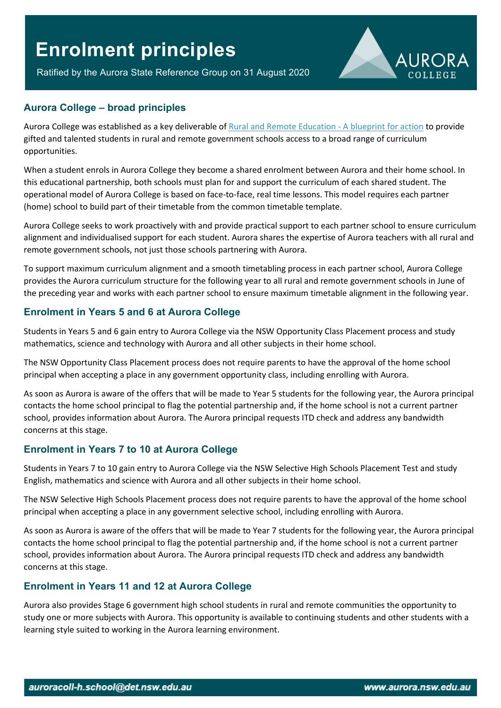# **Enrolment principles**

Ratified by the Aurora State Reference Group on 31 August 2020



### **Aurora College – broad principles**

Aurora College was established as a key deliverable of [Rural and Remote Education -](https://education.nsw.gov.au/teaching-and-learning/curriculum/rural-and-distance-education/rural-and-remote-education/blueprint-for-action) A blueprint for action to provide gifted and talented students in rural and remote government schools access to a broad range of curriculum opportunities.

When a student enrols in Aurora College they become a shared enrolment between Aurora and their home school. In this educational partnership, both schools must plan for and support the curriculum of each shared student. The operational model of Aurora College is based on face-to-face, real time lessons. This model requires each partner (home) school to build part of their timetable from the common timetable template.

Aurora College seeks to work proactively with and provide practical support to each partner school to ensure curriculum alignment and individualised support for each student. Aurora shares the expertise of Aurora teachers with all rural and remote government schools, not just those schools partnering with Aurora.

To support maximum curriculum alignment and a smooth timetabling process in each partner school, Aurora College provides the Aurora curriculum structure for the following year to all rural and remote government schools in June of the preceding year and works with each partner school to ensure maximum timetable alignment in the following year.

# **Enrolment in Years 5 and 6 at Aurora College**

Students in Years 5 and 6 gain entry to Aurora College via the NSW Opportunity Class Placement process and study mathematics, science and technology with Aurora and all other subjects in their home school.

The NSW Opportunity Class Placement process does not require parents to have the approval of the home school principal when accepting a place in any government opportunity class, including enrolling with Aurora.

As soon as Aurora is aware of the offers that will be made to Year 5 students for the following year, the Aurora principal contacts the home school principal to flag the potential partnership and, if the home school is not a current partner school, provides information about Aurora. The Aurora principal requests ITD check and address any bandwidth concerns at this stage.

# **Enrolment in Years 7 to 10 at Aurora College**

Students in Years 7 to 10 gain entry to Aurora College via the NSW Selective High Schools Placement Test and study English, mathematics and science with Aurora and all other subjects in their home school.

The NSW Selective High Schools Placement process does not require parents to have the approval of the home school principal when accepting a place in any government selective school, including enrolling with Aurora.

As soon as Aurora is aware of the offers that will be made to Year 7 students for the following year, the Aurora principal contacts the home school principal to flag the potential partnership and, if the home school is not a current partner school, provides information about Aurora. The Aurora principal requests ITD check and address any bandwidth concerns at this stage.

# **Enrolment in Years 11 and 12 at Aurora College**

Aurora also provides Stage 6 government high school students in rural and remote communities the opportunity to study one or more subjects with Aurora. This opportunity is available to continuing students and other students with a learning style suited to working in the Aurora learning environment.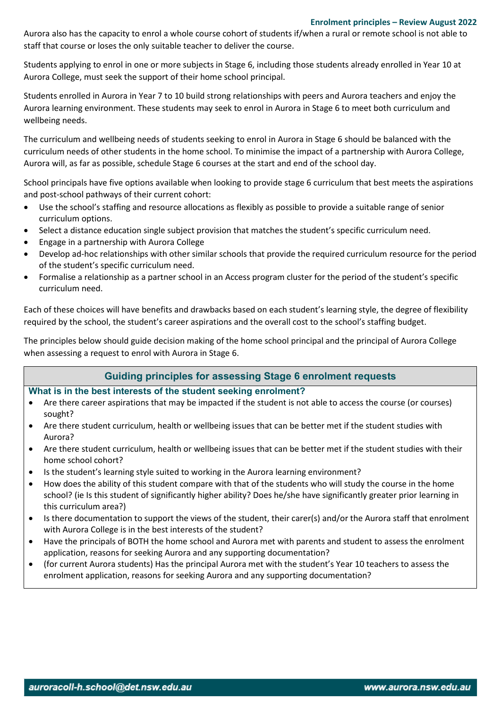#### **Enrolment principles – Review August 2022**

Aurora also has the capacity to enrol a whole course cohort of students if/when a rural or remote school is not able to staff that course or loses the only suitable teacher to deliver the course.

Students applying to enrol in one or more subjects in Stage 6, including those students already enrolled in Year 10 at Aurora College, must seek the support of their home school principal.

Students enrolled in Aurora in Year 7 to 10 build strong relationships with peers and Aurora teachers and enjoy the Aurora learning environment. These students may seek to enrol in Aurora in Stage 6 to meet both curriculum and wellbeing needs.

The curriculum and wellbeing needs of students seeking to enrol in Aurora in Stage 6 should be balanced with the curriculum needs of other students in the home school. To minimise the impact of a partnership with Aurora College, Aurora will, as far as possible, schedule Stage 6 courses at the start and end of the school day.

School principals have five options available when looking to provide stage 6 curriculum that best meets the aspirations and post-school pathways of their current cohort:

- Use the school's staffing and resource allocations as flexibly as possible to provide a suitable range of senior curriculum options.
- Select a distance education single subject provision that matches the student's specific curriculum need.
- Engage in a partnership with Aurora College
- Develop ad-hoc relationships with other similar schools that provide the required curriculum resource for the period of the student's specific curriculum need.
- Formalise a relationship as a partner school in an Access program cluster for the period of the student's specific curriculum need.

Each of these choices will have benefits and drawbacks based on each student's learning style, the degree of flexibility required by the school, the student's career aspirations and the overall cost to the school's staffing budget.

The principles below should guide decision making of the home school principal and the principal of Aurora College when assessing a request to enrol with Aurora in Stage 6.

# **Guiding principles for assessing Stage 6 enrolment requests**

#### **What is in the best interests of the student seeking enrolment?**

- Are there career aspirations that may be impacted if the student is not able to access the course (or courses) sought?
- Are there student curriculum, health or wellbeing issues that can be better met if the student studies with Aurora?
- Are there student curriculum, health or wellbeing issues that can be better met if the student studies with their home school cohort?
- Is the student's learning style suited to working in the Aurora learning environment?
- How does the ability of this student compare with that of the students who will study the course in the home school? (ie Is this student of significantly higher ability? Does he/she have significantly greater prior learning in this curriculum area?)
- Is there documentation to support the views of the student, their carer(s) and/or the Aurora staff that enrolment with Aurora College is in the best interests of the student?
- Have the principals of BOTH the home school and Aurora met with parents and student to assess the enrolment application, reasons for seeking Aurora and any supporting documentation?
- (for current Aurora students) Has the principal Aurora met with the student's Year 10 teachers to assess the enrolment application, reasons for seeking Aurora and any supporting documentation?